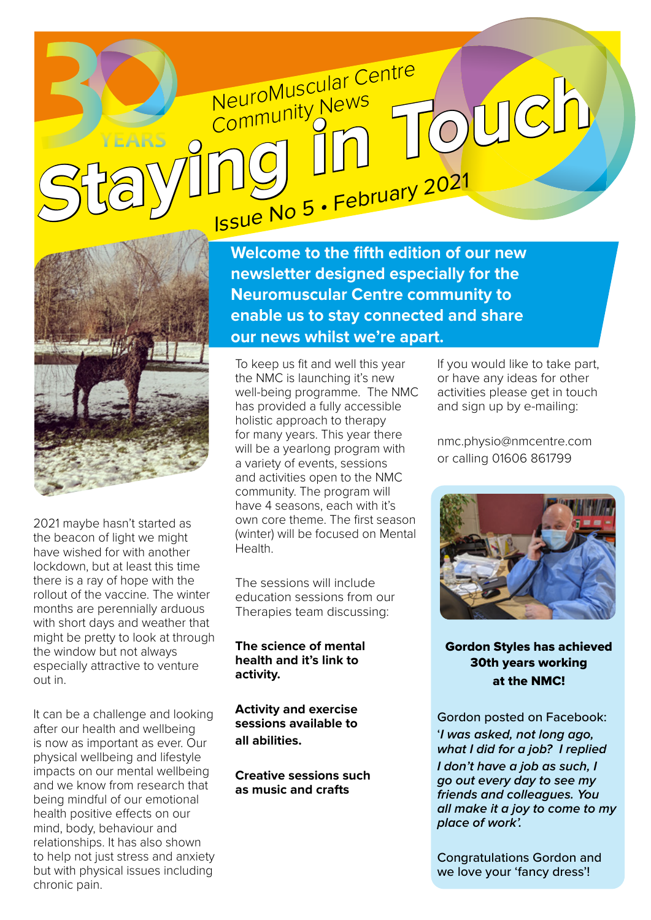## NeuroMuscular Centre **Community News** NeuroMuscular Centre<br>
Stary Ing In Touch



2021 maybe hasn't started as the beacon of light we might have wished for with another lockdown, but at least this time there is a ray of hope with the rollout of the vaccine. The winter months are perennially arduous with short days and weather that might be pretty to look at through the window but not always especially attractive to venture out in.

It can be a challenge and looking after our health and wellbeing is now as important as ever. Our physical wellbeing and lifestyle impacts on our mental wellbeing and we know from research that being mindful of our emotional health positive effects on our mind, body, behaviour and relationships. It has also shown to help not just stress and anxiety but with physical issues including chronic pain.

**Welcome to the fifth edition of our new newsletter designed especially for the Neuromuscular Centre community to enable us to stay connected and share our news whilst we're apart.** 

To keep us fit and well this year the NMC is launching it's new well-being programme. The NMC has provided a fully accessible holistic approach to therapy for many years. This year there will be a vearlong program with a variety of events, sessions and activities open to the NMC community. The program will have 4 seasons, each with it's own core theme. The first season (winter) will be focused on Mental Health.

The sessions will include education sessions from our Therapies team discussing:

#### **The science of mental health and it's link to activity.**

**Activity and exercise sessions available to all abilities.**

**Creative sessions such as music and crafts**

If you would like to take part, or have any ideas for other activities please get in touch and sign up by e-mailing:

[nmc.physio@nmcentre.com](mailto:nmc.physio@nmcentre.com)  or calling 01606 861799



Gordon Styles has achieved 30th years working at the NMC!

Gordon posted on Facebook: '*I was asked, not long ago, what I did for a job? I replied I don't have a job as such, I go out every day to see my friends and colleagues. You all make it a joy to come to my place of work'.* 

Congratulations Gordon and we love your 'fancy dress'!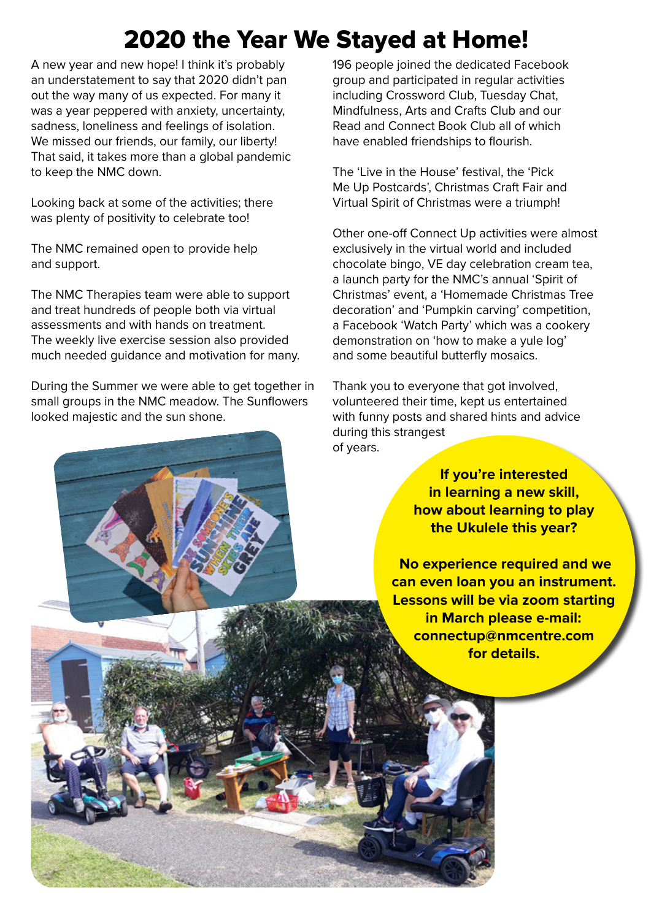## 2020 the Year We Stayed at Home!

A new year and new hope! I think it's probably an understatement to say that 2020 didn't pan out the way many of us expected. For many it was a year peppered with anxiety, uncertainty, sadness, loneliness and feelings of isolation. We missed our friends, our family, our liberty! That said, it takes more than a global pandemic to keep the NMC down.

Looking back at some of the activities; there was plenty of positivity to celebrate too!

The NMC remained open to provide help and support.

The NMC Therapies team were able to support and treat hundreds of people both via virtual assessments and with hands on treatment. The weekly live exercise session also provided much needed guidance and motivation for many.

During the Summer we were able to get together in small groups in the NMC meadow. The Sunflowers looked majestic and the sun shone.

196 people joined the dedicated Facebook group and participated in regular activities including Crossword Club, Tuesday Chat, Mindfulness, Arts and Crafts Club and our Read and Connect Book Club all of which have enabled friendships to flourish.

The 'Live in the House' festival, the 'Pick Me Up Postcards', Christmas Craft Fair and Virtual Spirit of Christmas were a triumph!

Other one-off Connect Up activities were almost exclusively in the virtual world and included chocolate bingo, VE day celebration cream tea, a launch party for the NMC's annual 'Spirit of Christmas' event, a 'Homemade Christmas Tree decoration' and 'Pumpkin carving' competition, a Facebook 'Watch Party' which was a cookery demonstration on 'how to make a yule log' and some beautiful butterfly mosaics.

Thank you to everyone that got involved, volunteered their time, kept us entertained with funny posts and shared hints and advice during this strangest of years.

> **If you're interested in learning a new skill, how about learning to play the Ukulele this year?**

 **No experience required and we can even loan you an instrument. Lessons will be via zoom starting in March please e-mail: [connectup@nmcentre.com](mailto:connectup@nmcentre.com)  for details.**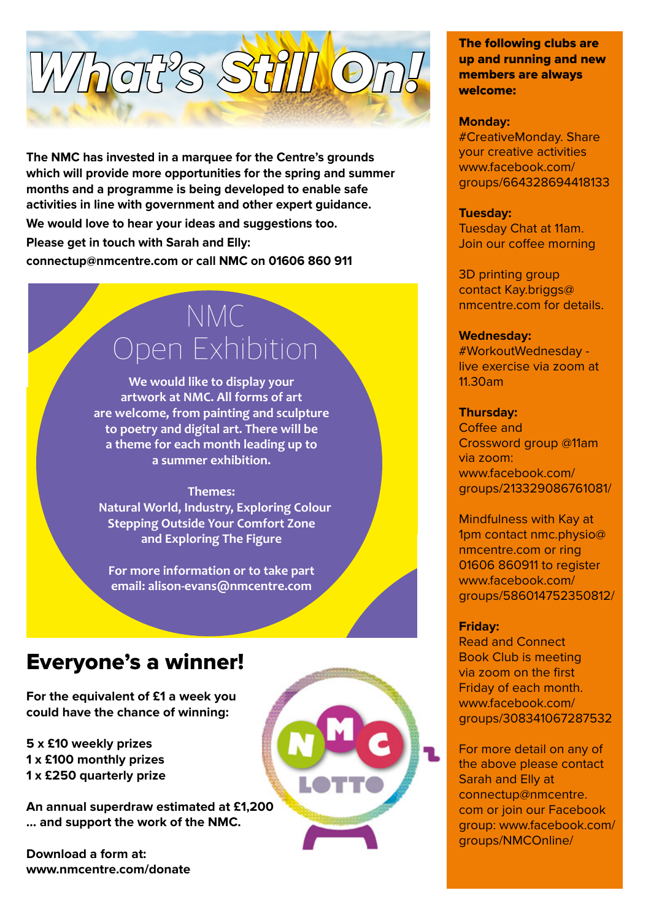# What's Still O

**The NMC has invested in a marquee for the Centre's grounds which will provide more opportunities for the spring and summer months and a programme is being developed to enable safe activities in line with government and other expert guidance.** 

**We would love to hear your ideas and suggestions too.** 

**Please get in touch with Sarah and Elly:** 

**[connectup@nmcentre.com or](mailto:connectup@nmcentre.com) call NMC on 01606 860 911**

## NMC Open Exhibition

**We would like to display your artwork at NMC. All forms of art are welcome, from painting and sculpture to poetry and digital art. There will be a theme for each month leading up to a summer exhibition.**

#### **Themes:**

 **Natural World, Industry, Exploring Colour Stepping Outside Your Comfort Zone and Exploring The Figure**

**For more information or to take part email: [alison-evans@nmcentre.com](mailto:alison-evans@nmcentre.com)**

### Everyone's a winner!

**For the equivalent of £1 a week you could have the chance of winning:**

**5 x £10 weekly prizes 1 x £100 monthly prizes 1 x £250 quarterly prize**

**An annual superdraw estimated at £1,200 ... and support the work of the NMC.**

**Download a form at: [www.nmcentre.com/donate](http://www.nmcentre.com/donate)**



The following clubs are up and running and new members are always welcome:

#### **Monday:**

#CreativeMonday. Share your creative activities www.facebook.com/ [groups/664328694418133](www.facebook.com/groups/664328694418133)

#### **Tuesday:**

Tuesday Chat at 11am. Join our coffee morning

3D printing group contact Kay.briggs@ nmcentre.com for details.

#### **Wednesday:**

#WorkoutWednesday live exercise via zoom at 11.30am

#### **Thursday:**

Coffee and Crossword group @11am via zoom: www.facebook.com/ [groups/213329086761081/](www.facebook.com/groups/213329086761081)

Mindfulness with Kay at 1pm contact nmc.physio@ nmcentre.com or ring 01606 860911 to register www.facebook.com/ [groups/586014752350812/](www.facebook.com/groups/586014752350812)

#### **Friday:**

Read and Connect Book Club is meeting via zoom on the first Friday of each month. www.facebook.com/ [groups/308341067287532](www.facebook.com/groups/308341067287532)

For more detail on any of the above please contact Sarah and Elly at connectup@nmcentre. com or join our Facebook [group: www.facebook.com/](www.facebook.com/groups/nmconline) groups/NMCOnline/